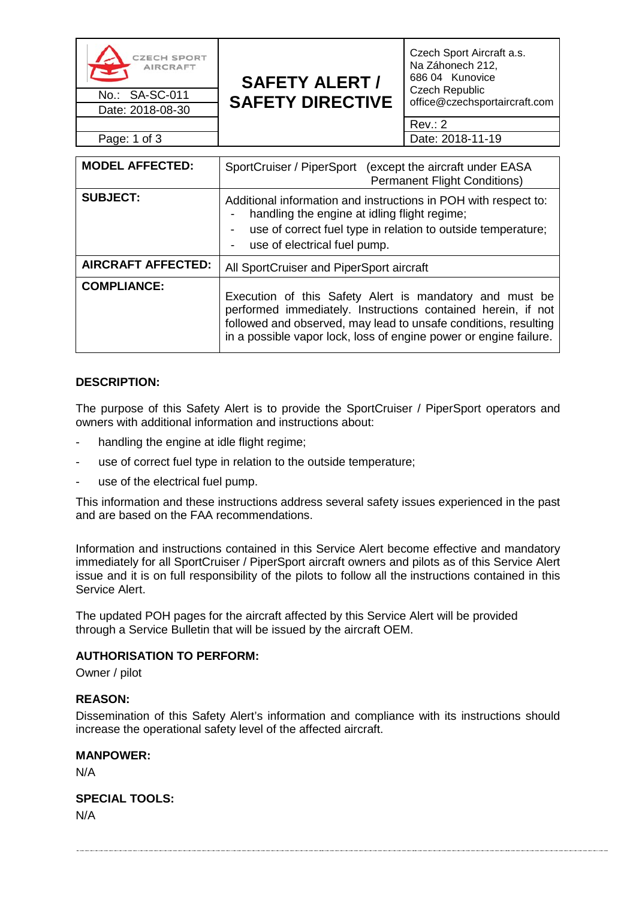| <b>CZECH SPORT</b><br>쪽<br><b>AIRCRAFT</b><br>No.: SA-SC-011 | <b>SAFETY ALERT /</b><br><b>SAFETY DIRECTIVE</b> | Czech Sport Aircraft a.s.<br>Na Záhonech 212,<br>686 04 Kunovice<br><b>Czech Republic</b><br>office@czechsportaircraft.com |
|--------------------------------------------------------------|--------------------------------------------------|----------------------------------------------------------------------------------------------------------------------------|
| Date: 2018-08-30                                             |                                                  |                                                                                                                            |
|                                                              |                                                  | Rev: 2                                                                                                                     |
| Page: 1 of 3                                                 |                                                  | Date: 2018-11-19                                                                                                           |

| <b>MODEL AFFECTED:</b>    | SportCruiser / PiperSport (except the aircraft under EASA<br><b>Permanent Flight Conditions)</b>                                                                                                                                                                |  |
|---------------------------|-----------------------------------------------------------------------------------------------------------------------------------------------------------------------------------------------------------------------------------------------------------------|--|
| <b>SUBJECT:</b>           | Additional information and instructions in POH with respect to:<br>handling the engine at idling flight regime;<br>use of correct fuel type in relation to outside temperature;<br>use of electrical fuel pump.                                                 |  |
| <b>AIRCRAFT AFFECTED:</b> | All SportCruiser and PiperSport aircraft                                                                                                                                                                                                                        |  |
| <b>COMPLIANCE:</b>        | Execution of this Safety Alert is mandatory and must be<br>performed immediately. Instructions contained herein, if not<br>followed and observed, may lead to unsafe conditions, resulting<br>in a possible vapor lock, loss of engine power or engine failure. |  |

# **DESCRIPTION:**

The purpose of this Safety Alert is to provide the SportCruiser / PiperSport operators and owners with additional information and instructions about:

- handling the engine at idle flight regime;
- use of correct fuel type in relation to the outside temperature;
- use of the electrical fuel pump.

This information and these instructions address several safety issues experienced in the past and are based on the FAA recommendations.

Information and instructions contained in this Service Alert become effective and mandatory immediately for all SportCruiser / PiperSport aircraft owners and pilots as of this Service Alert issue and it is on full responsibility of the pilots to follow all the instructions contained in this Service Alert.

The updated POH pages for the aircraft affected by this Service Alert will be provided through a Service Bulletin that will be issued by the aircraft OEM.

#### **AUTHORISATION TO PERFORM:**

Owner / pilot

#### **REASON:**

Dissemination of this Safety Alert's information and compliance with its instructions should increase the operational safety level of the affected aircraft.

#### **MANPOWER:**

N/A

**SPECIAL TOOLS:** N/A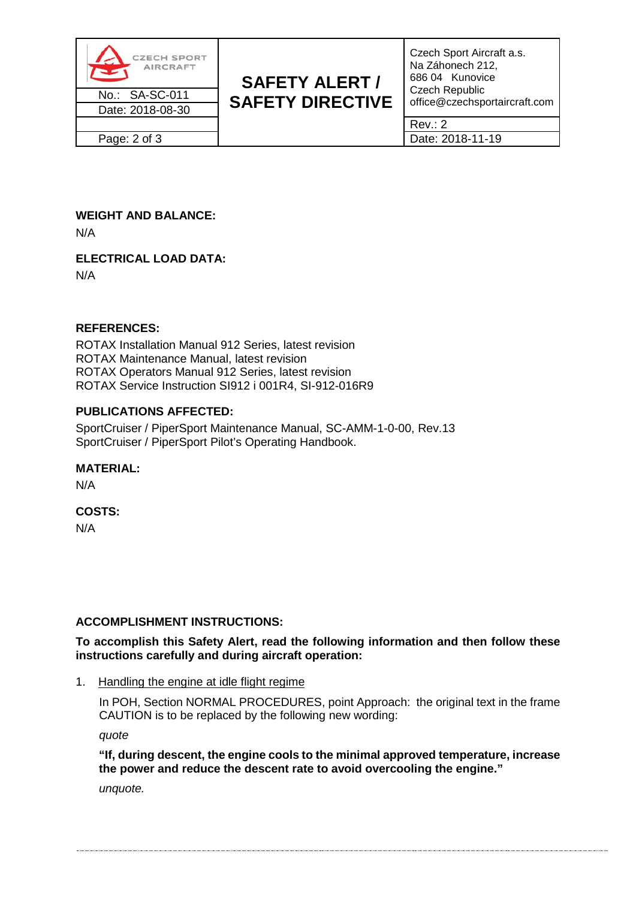

# **WEIGHT AND BALANCE:**

N/A

# **ELECTRICAL LOAD DATA:**

N/A

# **REFERENCES:**

ROTAX Installation Manual 912 Series, latest revision ROTAX Maintenance Manual, latest revision ROTAX Operators Manual 912 Series, latest revision ROTAX Service Instruction SI912 i 001R4, SI-912-016R9

# **PUBLICATIONS AFFECTED:**

SportCruiser / PiperSport Maintenance Manual, SC-AMM-1-0-00, Rev.13 SportCruiser / PiperSport Pilot's Operating Handbook.

# **MATERIAL:**

N/A

# **COSTS:**

N/A

# **ACCOMPLISHMENT INSTRUCTIONS:**

# **To accomplish this Safety Alert, read the following information and then follow these instructions carefully and during aircraft operation:**

1. Handling the engine at idle flight regime

In POH, Section NORMAL PROCEDURES, point Approach: the original text in the frame CAUTION is to be replaced by the following new wording:

*quote*

**"If, during descent, the engine cools to the minimal approved temperature, increase the power and reduce the descent rate to avoid overcooling the engine."**

*unquote.*